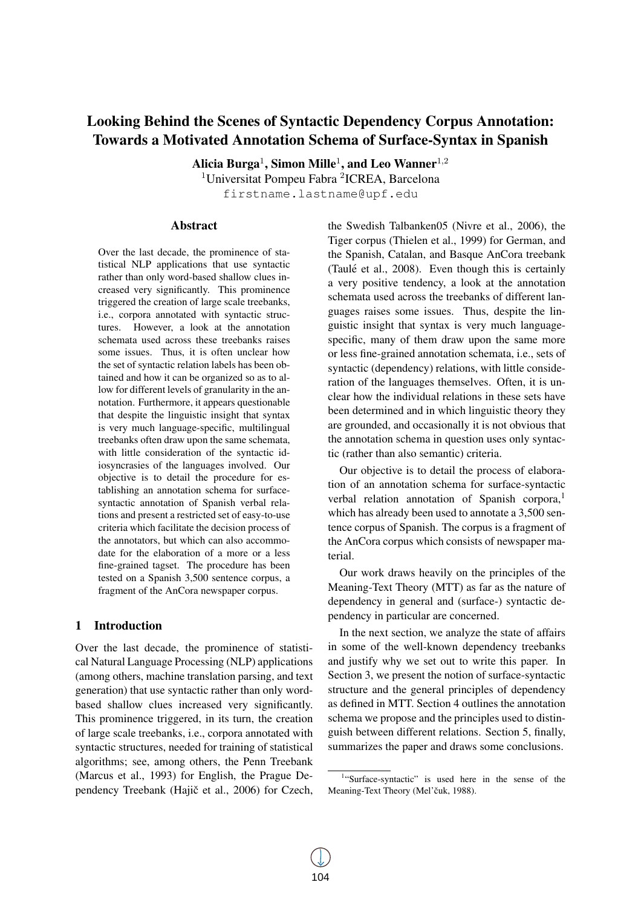# Looking Behind the Scenes of Syntactic Dependency Corpus Annotation: Towards a Motivated Annotation Schema of Surface-Syntax in Spanish

Alicia Burga $^1$ , Simon Mille $^1$ , and Leo Wanner $^{1,2}$ 

<sup>1</sup>Universitat Pompeu Fabra <sup>2</sup>ICREA, Barcelona firstname.lastname@upf.edu

## Abstract

Over the last decade, the prominence of statistical NLP applications that use syntactic rather than only word-based shallow clues increased very significantly. This prominence triggered the creation of large scale treebanks, i.e., corpora annotated with syntactic structures. However, a look at the annotation schemata used across these treebanks raises some issues. Thus, it is often unclear how the set of syntactic relation labels has been obtained and how it can be organized so as to allow for different levels of granularity in the annotation. Furthermore, it appears questionable that despite the linguistic insight that syntax is very much language-specific, multilingual treebanks often draw upon the same schemata, with little consideration of the syntactic idiosyncrasies of the languages involved. Our objective is to detail the procedure for establishing an annotation schema for surfacesyntactic annotation of Spanish verbal relations and present a restricted set of easy-to-use criteria which facilitate the decision process of the annotators, but which can also accommodate for the elaboration of a more or a less fine-grained tagset. The procedure has been tested on a Spanish 3,500 sentence corpus, a fragment of the AnCora newspaper corpus.

## 1 Introduction

Over the last decade, the prominence of statistical Natural Language Processing (NLP) applications (among others, machine translation parsing, and text generation) that use syntactic rather than only wordbased shallow clues increased very significantly. This prominence triggered, in its turn, the creation of large scale treebanks, i.e., corpora annotated with syntactic structures, needed for training of statistical algorithms; see, among others, the Penn Treebank (Marcus et al., 1993) for English, the Prague Dependency Treebank (Hajič et al., 2006) for Czech, the Swedish Talbanken05 (Nivre et al., 2006), the Tiger corpus (Thielen et al., 1999) for German, and the Spanish, Catalan, and Basque AnCora treebank (Taulé et al.,  $2008$ ). Even though this is certainly a very positive tendency, a look at the annotation schemata used across the treebanks of different languages raises some issues. Thus, despite the linguistic insight that syntax is very much languagespecific, many of them draw upon the same more or less fine-grained annotation schemata, i.e., sets of syntactic (dependency) relations, with little consideration of the languages themselves. Often, it is unclear how the individual relations in these sets have been determined and in which linguistic theory they are grounded, and occasionally it is not obvious that the annotation schema in question uses only syntactic (rather than also semantic) criteria.

Our objective is to detail the process of elaboration of an annotation schema for surface-syntactic verbal relation annotation of Spanish corpora,<sup>1</sup> which has already been used to annotate a 3,500 sentence corpus of Spanish. The corpus is a fragment of the AnCora corpus which consists of newspaper material.

Our work draws heavily on the principles of the Meaning-Text Theory (MTT) as far as the nature of dependency in general and (surface-) syntactic dependency in particular are concerned.

In the next section, we analyze the state of affairs in some of the well-known dependency treebanks and justify why we set out to write this paper. In Section 3, we present the notion of surface-syntactic structure and the general principles of dependency as defined in MTT. Section 4 outlines the annotation schema we propose and the principles used to distinguish between different relations. Section 5, finally, summarizes the paper and draws some conclusions.

<sup>&</sup>lt;sup>1</sup>"Surface-syntactic" is used here in the sense of the Meaning-Text Theory (Mel'čuk, 1988).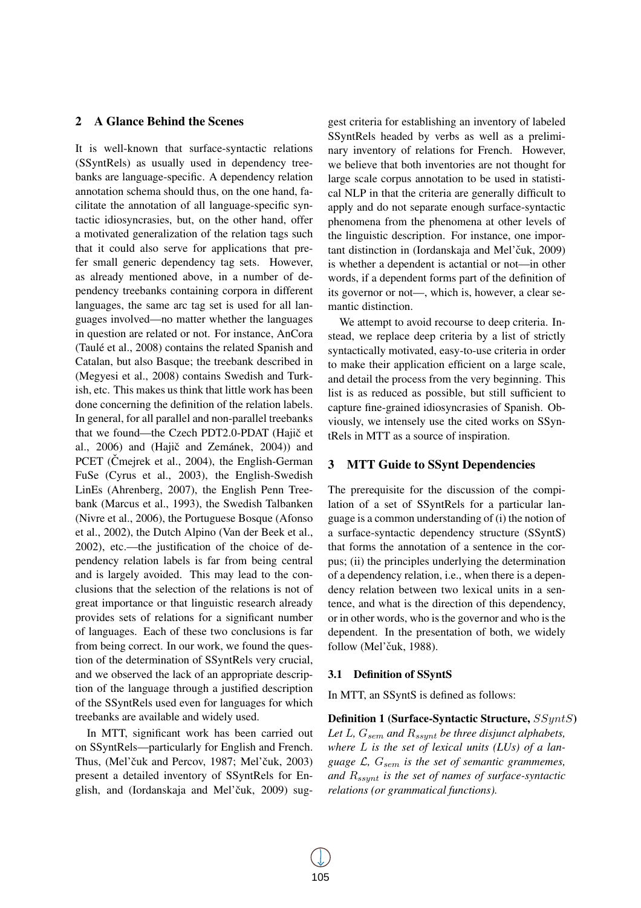## 2 A Glance Behind the Scenes

It is well-known that surface-syntactic relations (SSyntRels) as usually used in dependency treebanks are language-specific. A dependency relation annotation schema should thus, on the one hand, facilitate the annotation of all language-specific syntactic idiosyncrasies, but, on the other hand, offer a motivated generalization of the relation tags such that it could also serve for applications that prefer small generic dependency tag sets. However, as already mentioned above, in a number of dependency treebanks containing corpora in different languages, the same arc tag set is used for all languages involved—no matter whether the languages in question are related or not. For instance, AnCora (Taulé et al., 2008) contains the related Spanish and Catalan, but also Basque; the treebank described in (Megyesi et al., 2008) contains Swedish and Turkish, etc. This makes us think that little work has been done concerning the definition of the relation labels. In general, for all parallel and non-parallel treebanks that we found—the Czech PDT2.0-PDAT (Hajič et al.,  $2006$ ) and (Hajič and Zemánek,  $2004$ )) and PCET (Cmejrek et al., 2004), the English-German FuSe (Cyrus et al., 2003), the English-Swedish LinEs (Ahrenberg, 2007), the English Penn Treebank (Marcus et al., 1993), the Swedish Talbanken (Nivre et al., 2006), the Portuguese Bosque (Afonso et al., 2002), the Dutch Alpino (Van der Beek et al., 2002), etc.—the justification of the choice of dependency relation labels is far from being central and is largely avoided. This may lead to the conclusions that the selection of the relations is not of great importance or that linguistic research already provides sets of relations for a significant number of languages. Each of these two conclusions is far from being correct. In our work, we found the question of the determination of SSyntRels very crucial, and we observed the lack of an appropriate description of the language through a justified description of the SSyntRels used even for languages for which treebanks are available and widely used.

In MTT, significant work has been carried out on SSyntRels—particularly for English and French. Thus, (Mel'čuk and Percov, 1987; Mel'čuk, 2003) present a detailed inventory of SSyntRels for English, and (Iordanskaja and Mel'čuk, 2009) sug-

gest criteria for establishing an inventory of labeled SSyntRels headed by verbs as well as a preliminary inventory of relations for French. However, we believe that both inventories are not thought for large scale corpus annotation to be used in statistical NLP in that the criteria are generally difficult to apply and do not separate enough surface-syntactic phenomena from the phenomena at other levels of the linguistic description. For instance, one important distinction in (Iordanskaja and Mel'čuk, 2009) is whether a dependent is actantial or not—in other words, if a dependent forms part of the definition of its governor or not—, which is, however, a clear semantic distinction.

We attempt to avoid recourse to deep criteria. Instead, we replace deep criteria by a list of strictly syntactically motivated, easy-to-use criteria in order to make their application efficient on a large scale, and detail the process from the very beginning. This list is as reduced as possible, but still sufficient to capture fine-grained idiosyncrasies of Spanish. Obviously, we intensely use the cited works on SSyntRels in MTT as a source of inspiration.

## 3 MTT Guide to SSynt Dependencies

The prerequisite for the discussion of the compilation of a set of SSyntRels for a particular language is a common understanding of (i) the notion of a surface-syntactic dependency structure (SSyntS) that forms the annotation of a sentence in the corpus; (ii) the principles underlying the determination of a dependency relation, i.e., when there is a dependency relation between two lexical units in a sentence, and what is the direction of this dependency, or in other words, who is the governor and who is the dependent. In the presentation of both, we widely follow (Mel'čuk, 1988).

#### 3.1 Definition of SSyntS

In MTT, an SSyntS is defined as follows:

Definition 1 (Surface-Syntactic Structure, SSyntS) Let L,  $G_{sem}$  and  $R_{ssynt}$  be three disjunct alphabets, *where* L *is the set of lexical units (LUs) of a language*  $\mathcal{L}$ ,  $G_{sem}$  *is the set of semantic grammemes, and* Rssynt *is the set of names of surface-syntactic relations (or grammatical functions).*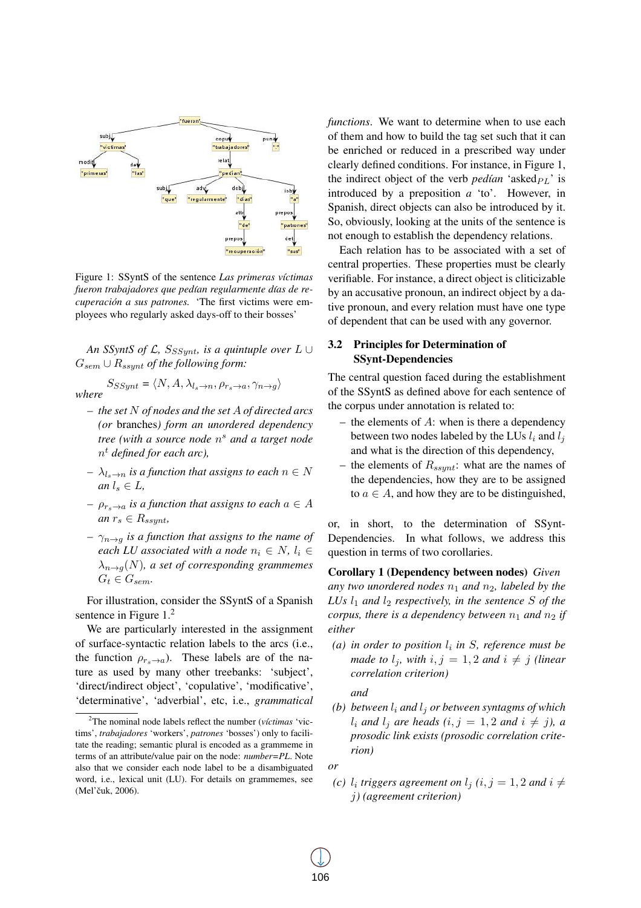

Figure 1: SSyntS of the sentence *Las primeras víctimas* fueron trabajadores que pedían regularmente días de re*cuperacion a sus patrones. ´* 'The first victims were employees who regularly asked days-off to their bosses'

*An SSyntS of L, S<sub>SSynt</sub>, is a quintuple over*  $L \cup$ Gsem ∪ Rssynt *of the following form:*

 $S_{SSynt} = \langle N, A, \lambda_{l_s \to n}, \rho_{r_s \to a}, \gamma_{n \to g} \rangle$ *where*

- *the set* N *of nodes and the set* A *of directed arcs (or* branches*) form an unordered dependency tree (with a source node* n <sup>s</sup> *and a target node* n <sup>t</sup> *defined for each arc),*
- *–*  $\lambda_{l_{\alpha} \to n}$  *is a function that assigns to each*  $n \in N$ *an*  $l_s \in L$ ,
- *–*  $\rho_{r_s\to a}$  *is a function that assigns to each*  $a \in A$ *an*  $r_s \in R_{ssynt}$ ,
- *–*  $\gamma_{n\to q}$  *is a function that assigns to the name of each LU associated with a node*  $n_i \in N$ ,  $l_i \in$  $\lambda_{n\to q}(N)$ , a set of corresponding grammemes  $G_t \in G_{sem}.$

For illustration, consider the SSyntS of a Spanish sentence in Figure 1.<sup>2</sup>

We are particularly interested in the assignment of surface-syntactic relation labels to the arcs (i.e., the function  $\rho_{r_s\to a}$ ). These labels are of the nature as used by many other treebanks: 'subject', 'direct/indirect object', 'copulative', 'modificative', 'determinative', 'adverbial', etc, i.e., *grammatical* *functions*. We want to determine when to use each of them and how to build the tag set such that it can be enriched or reduced in a prescribed way under clearly defined conditions. For instance, in Figure 1, the indirect object of the verb *pedían* 'asked $_{PL}$ ' is introduced by a preposition *a* 'to'. However, in Spanish, direct objects can also be introduced by it. So, obviously, looking at the units of the sentence is not enough to establish the dependency relations.

Each relation has to be associated with a set of central properties. These properties must be clearly verifiable. For instance, a direct object is cliticizable by an accusative pronoun, an indirect object by a dative pronoun, and every relation must have one type of dependent that can be used with any governor.

## 3.2 Principles for Determination of SSynt-Dependencies

The central question faced during the establishment of the SSyntS as defined above for each sentence of the corpus under annotation is related to:

- the elements of  $A$ : when is there a dependency between two nodes labeled by the LUs  $l_i$  and  $l_j$ and what is the direction of this dependency,
- the elements of  $R_{ssunt}$ : what are the names of the dependencies, how they are to be assigned to  $a \in A$ , and how they are to be distinguished,

or, in short, to the determination of SSynt-Dependencies. In what follows, we address this question in terms of two corollaries.

Corollary 1 (Dependency between nodes) *Given any two unordered nodes*  $n_1$  *and*  $n_2$ *, labeled by the LUs*  $l_1$  *and*  $l_2$  *respectively, in the sentence*  $S$  *of the corpus, there is a dependency between*  $n_1$  *and*  $n_2$  *if either*

(*a*) in order to position  $l_i$  in S, reference must be *made to*  $l_i$ *, with*  $i, j = 1, 2$  *and*  $i \neq j$  *(linear correlation criterion)*

*and*

*(b) between*  $l_i$  *and*  $l_j$  *or between syntagms of which*  $l_i$  *and*  $l_j$  *are heads*  $(i, j = 1, 2$  *and*  $i \neq j$ *), a prosodic link exists (prosodic correlation criterion)*

*or*

*(c)*  $l_i$  triggers agreement on  $l_j$   $(i, j = 1, 2$  and  $i \neq j$ j*) (agreement criterion)*

<sup>&</sup>lt;sup>2</sup>The nominal node labels reflect the number (*víctimas* 'victims', *trabajadores* 'workers', *patrones* 'bosses') only to facilitate the reading; semantic plural is encoded as a grammeme in terms of an attribute/value pair on the node: *number=PL*. Note also that we consider each node label to be a disambiguated word, i.e., lexical unit (LU). For details on grammemes, see (Mel'čuk, 2006).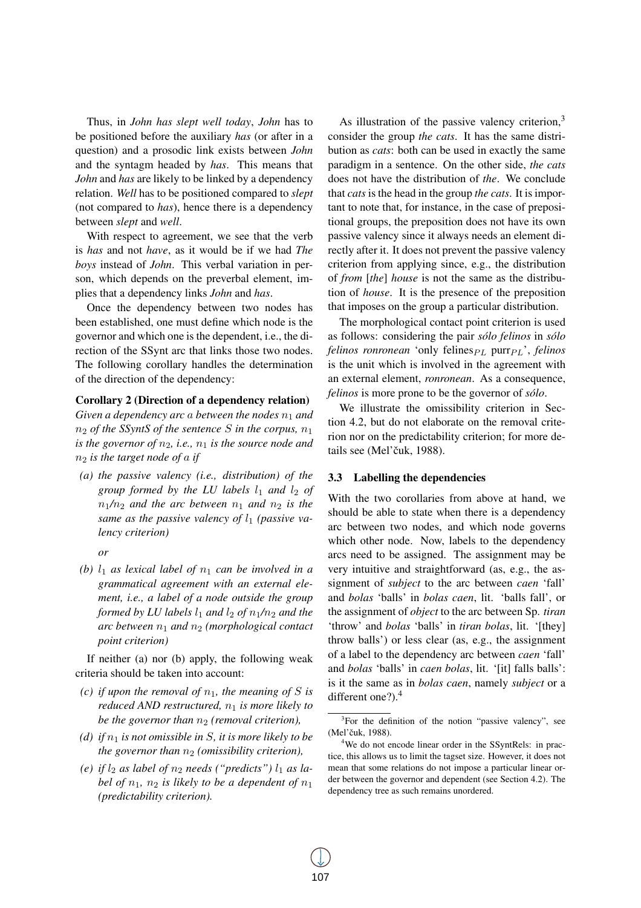Thus, in *John has slept well today*, *John* has to be positioned before the auxiliary *has* (or after in a question) and a prosodic link exists between *John* and the syntagm headed by *has*. This means that *John* and *has* are likely to be linked by a dependency relation. *Well* has to be positioned compared to *slept* (not compared to *has*), hence there is a dependency between *slept* and *well*.

With respect to agreement, we see that the verb is *has* and not *have*, as it would be if we had *The boys* instead of *John*. This verbal variation in person, which depends on the preverbal element, implies that a dependency links *John* and *has*.

Once the dependency between two nodes has been established, one must define which node is the governor and which one is the dependent, i.e., the direction of the SSynt arc that links those two nodes. The following corollary handles the determination of the direction of the dependency:

#### Corollary 2 (Direction of a dependency relation)

Given a dependency arc a between the nodes  $n_1$  and  $n_2$  *of the SSyntS of the sentence S in the corpus,*  $n_1$ *is the governor of*  $n_2$ *, i.e.,*  $n_1$  *is the source node and* n<sup>2</sup> *is the target node of* a *if*

- *(a) the passive valency (i.e., distribution) of the group formed by the LU labels*  $l_1$  *and*  $l_2$  *of*  $n_1/n_2$  *and the arc between*  $n_1$  *and*  $n_2$  *is the* same as the passive valency of  $l_1$  (passive va*lency criterion)*
	- *or*
- *(b)*  $l_1$  *as lexical label of*  $n_1$  *can be involved in a grammatical agreement with an external element, i.e., a label of a node outside the group formed by LU labels*  $l_1$  *and*  $l_2$  *of*  $n_1/n_2$  *and the arc between*  $n_1$  *and*  $n_2$  *(morphological contact point criterion)*

If neither (a) nor (b) apply, the following weak criteria should be taken into account:

- *(c) if upon the removal of*  $n_1$ *, the meaning of S is reduced AND restructured,*  $n_1$  *is more likely to be the governor than*  $n_2$  *(removal criterion)*,
- *(d)* if  $n_1$  *is not omissible in S, it is more likely to be the governor than*  $n_2$  *(omissibility criterion),*
- *(e)* if  $l_2$  *as label of*  $n_2$  *needs ("predicts")*  $l_1$  *as label of*  $n_1$ ,  $n_2$  *is likely to be a dependent of*  $n_1$ *(predictability criterion).*

As illustration of the passive valency criterion, $3$ consider the group *the cats*. It has the same distribution as *cats*: both can be used in exactly the same paradigm in a sentence. On the other side, *the cats* does not have the distribution of *the*. We conclude that *cats* is the head in the group *the cats*. It is important to note that, for instance, in the case of prepositional groups, the preposition does not have its own passive valency since it always needs an element directly after it. It does not prevent the passive valency criterion from applying since, e.g., the distribution of *from* [*the*] *house* is not the same as the distribution of *house*. It is the presence of the preposition that imposes on the group a particular distribution.

The morphological contact point criterion is used as follows: considering the pair *sólo felinos* in *sólo felinos ronronean* 'only felines $_{PL}$  purr $_{PL}$ ', *felinos* is the unit which is involved in the agreement with an external element, *ronronean*. As a consequence, *felinos* is more prone to be the governor of *solo ´* .

We illustrate the omissibility criterion in Section 4.2, but do not elaborate on the removal criterion nor on the predictability criterion; for more details see (Mel'čuk, 1988).

#### 3.3 Labelling the dependencies

With the two corollaries from above at hand, we should be able to state when there is a dependency arc between two nodes, and which node governs which other node. Now, labels to the dependency arcs need to be assigned. The assignment may be very intuitive and straightforward (as, e.g., the assignment of *subject* to the arc between *caen* 'fall' and *bolas* 'balls' in *bolas caen*, lit. 'balls fall', or the assignment of *object* to the arc between Sp. *tiran* 'throw' and *bolas* 'balls' in *tiran bolas*, lit. '[they] throw balls') or less clear (as, e.g., the assignment of a label to the dependency arc between *caen* 'fall' and *bolas* 'balls' in *caen bolas*, lit. '[it] falls balls': is it the same as in *bolas caen*, namely *subject* or a different one?).<sup>4</sup>

<sup>&</sup>lt;sup>3</sup>For the definition of the notion "passive valency", see (Mel'čuk, 1988).

<sup>&</sup>lt;sup>4</sup>We do not encode linear order in the SSyntRels: in practice, this allows us to limit the tagset size. However, it does not mean that some relations do not impose a particular linear order between the governor and dependent (see Section 4.2). The dependency tree as such remains unordered.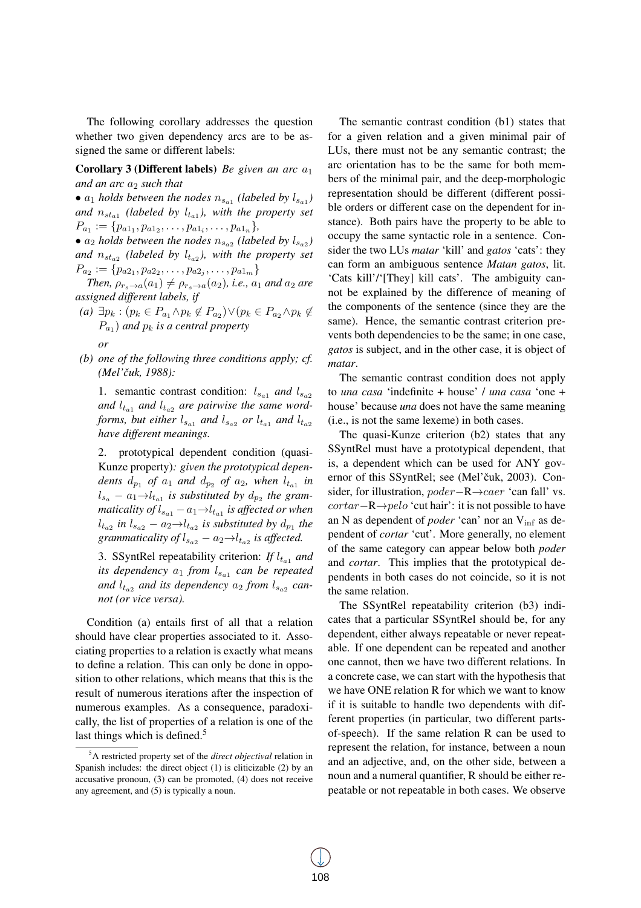The following corollary addresses the question whether two given dependency arcs are to be assigned the same or different labels:

**Corollary 3 (Different labels)** *Be given an arc*  $a_1$ *and an arc*  $a_2$  *such that* 

•  $a_1$  *holds between the nodes*  $n_{s_{a_1}}$  (labeled by  $l_{s_{a_1}}$ ) and  $n_{sta_1}$  (labeled by  $l_{ta_1}$ ), with the property set  $P_{a_1} := \{p_{a1_1}, p_{a1_2}, \ldots, p_{a1_i}, \ldots, p_{a1_n}\},\,$ 

•  $a_2$  *holds between the nodes*  $n_{s_{a_2}}$  (labeled by  $l_{s_{a_2}}$ ) and  $n_{st_{a2}}$  (labeled by  $l_{t_{a2}}$ ), with the property set  $P_{a_2} := \{p_{a2_1}, p_{a2_2}, \ldots, p_{a2_j}, \ldots, p_{a1_m}\}\$ 

*Then,*  $\rho_{r_s\to a}(a_1) \neq \rho_{r_s\to a}(a_2)$ *, i.e.,*  $a_1$  *and*  $a_2$  *are assigned different labels, if*

- $(a) \exists p_k : (p_k \in P_{a_1} \land p_k \notin P_{a_2}) \lor (p_k \in P_{a_2} \land p_k \notin P_{a_1} \land p_k)$  $P_{a_1}$ ) and  $p_k$  is a central property *or*
- *(b) one of the following three conditions apply; cf. (Mel'cuk, 1988): ˇ*

1. semantic contrast condition:  $l_{s_{a1}}$  and  $l_{s_{a2}}$ and  $l_{t_{a1}}$  and  $l_{t_{a2}}$  are pairwise the same word*forms, but either*  $l_{sa1}$  *and*  $l_{sa2}$  *or*  $l_{ta1}$  *and*  $l_{ta2}$ *have different meanings.*

2. prototypical dependent condition (quasi-Kunze property)*: given the prototypical depen* $d$ *ents*  $d_{p_1}$  *of*  $a_1$  *and*  $d_{p_2}$  *of*  $a_2$ *, when*  $l_{t_{a_1}}$  *in*  $l_{s_a} - a_1 \rightarrow l_{t_{a1}}$  is substituted by  $d_{p_2}$  the grammaticality of  $l_{s_{a1}} - a_1 \rightarrow l_{t_{a1}}$  is affected or when  $l_{t_{a2}}$  in  $l_{s_{a2}} - a_2 \rightarrow l_{t_{a2}}$  is substituted by  $d_{p_1}$  the *grammaticality of*  $l_{s_{a2}} - a_2 \rightarrow l_{t_{a2}}$  *is affected.* 

3. SSyntRel repeatability criterion: *If*  $l_{t_{a1}}$  *and its dependency*  $a_1$  *from*  $l_{s_{a1}}$  *can be repeated* and  $l_{t_{a2}}$  and its dependency  $a_2$  from  $l_{s_{a2}}$  can*not (or vice versa).*

Condition (a) entails first of all that a relation should have clear properties associated to it. Associating properties to a relation is exactly what means to define a relation. This can only be done in opposition to other relations, which means that this is the result of numerous iterations after the inspection of numerous examples. As a consequence, paradoxically, the list of properties of a relation is one of the last things which is defined.<sup>5</sup>

The semantic contrast condition (b1) states that for a given relation and a given minimal pair of LUs, there must not be any semantic contrast; the arc orientation has to be the same for both members of the minimal pair, and the deep-morphologic representation should be different (different possible orders or different case on the dependent for instance). Both pairs have the property to be able to occupy the same syntactic role in a sentence. Consider the two LUs *matar* 'kill' and *gatos* 'cats': they can form an ambiguous sentence *Matan gatos*, lit. 'Cats kill'/'[They] kill cats'. The ambiguity cannot be explained by the difference of meaning of the components of the sentence (since they are the same). Hence, the semantic contrast criterion prevents both dependencies to be the same; in one case, *gatos* is subject, and in the other case, it is object of *matar*.

The semantic contrast condition does not apply to *una casa* 'indefinite + house' / *una casa* 'one + house' because *una* does not have the same meaning (i.e., is not the same lexeme) in both cases.

The quasi-Kunze criterion (b2) states that any SSyntRel must have a prototypical dependent, that is, a dependent which can be used for ANY governor of this SSyntRel; see (Mel'čuk, 2003). Consider, for illustration, poder−R→caer 'can fall' vs.  $cortar-R \rightarrow pelo$  'cut hair': it is not possible to have an N as dependent of *poder* 'can' nor an Vinf as dependent of *cortar* 'cut'. More generally, no element of the same category can appear below both *poder* and *cortar*. This implies that the prototypical dependents in both cases do not coincide, so it is not the same relation.

The SSyntRel repeatability criterion (b3) indicates that a particular SSyntRel should be, for any dependent, either always repeatable or never repeatable. If one dependent can be repeated and another one cannot, then we have two different relations. In a concrete case, we can start with the hypothesis that we have ONE relation R for which we want to know if it is suitable to handle two dependents with different properties (in particular, two different partsof-speech). If the same relation R can be used to represent the relation, for instance, between a noun and an adjective, and, on the other side, between a noun and a numeral quantifier, R should be either repeatable or not repeatable in both cases. We observe

<sup>5</sup>A restricted property set of the *direct objectival* relation in Spanish includes: the direct object (1) is cliticizable (2) by an accusative pronoun, (3) can be promoted, (4) does not receive any agreement, and (5) is typically a noun.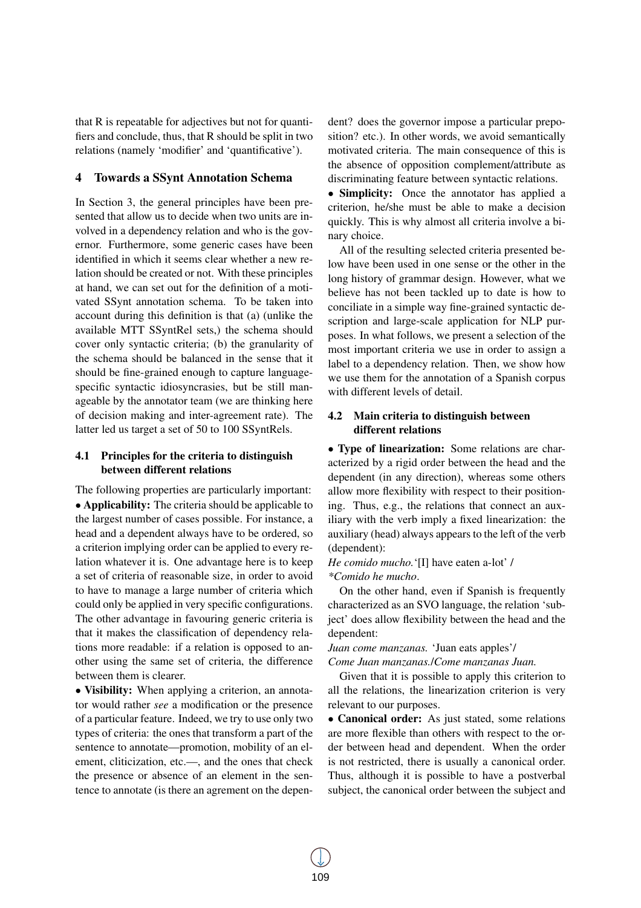that R is repeatable for adjectives but not for quantifiers and conclude, thus, that R should be split in two relations (namely 'modifier' and 'quantificative').

# 4 Towards a SSynt Annotation Schema

In Section 3, the general principles have been presented that allow us to decide when two units are involved in a dependency relation and who is the governor. Furthermore, some generic cases have been identified in which it seems clear whether a new relation should be created or not. With these principles at hand, we can set out for the definition of a motivated SSynt annotation schema. To be taken into account during this definition is that (a) (unlike the available MTT SSyntRel sets,) the schema should cover only syntactic criteria; (b) the granularity of the schema should be balanced in the sense that it should be fine-grained enough to capture languagespecific syntactic idiosyncrasies, but be still manageable by the annotator team (we are thinking here of decision making and inter-agreement rate). The latter led us target a set of 50 to 100 SSyntRels.

# 4.1 Principles for the criteria to distinguish between different relations

The following properties are particularly important: • Applicability: The criteria should be applicable to the largest number of cases possible. For instance, a head and a dependent always have to be ordered, so a criterion implying order can be applied to every relation whatever it is. One advantage here is to keep a set of criteria of reasonable size, in order to avoid to have to manage a large number of criteria which could only be applied in very specific configurations. The other advantage in favouring generic criteria is that it makes the classification of dependency relations more readable: if a relation is opposed to another using the same set of criteria, the difference between them is clearer.

• Visibility: When applying a criterion, an annotator would rather *see* a modification or the presence of a particular feature. Indeed, we try to use only two types of criteria: the ones that transform a part of the sentence to annotate—promotion, mobility of an element, cliticization, etc.—, and the ones that check the presence or absence of an element in the sentence to annotate (is there an agrement on the dependent? does the governor impose a particular preposition? etc.). In other words, we avoid semantically motivated criteria. The main consequence of this is the absence of opposition complement/attribute as discriminating feature between syntactic relations.

• Simplicity: Once the annotator has applied a criterion, he/she must be able to make a decision quickly. This is why almost all criteria involve a binary choice.

All of the resulting selected criteria presented below have been used in one sense or the other in the long history of grammar design. However, what we believe has not been tackled up to date is how to conciliate in a simple way fine-grained syntactic description and large-scale application for NLP purposes. In what follows, we present a selection of the most important criteria we use in order to assign a label to a dependency relation. Then, we show how we use them for the annotation of a Spanish corpus with different levels of detail.

# 4.2 Main criteria to distinguish between different relations

• Type of linearization: Some relations are characterized by a rigid order between the head and the dependent (in any direction), whereas some others allow more flexibility with respect to their positioning. Thus, e.g., the relations that connect an auxiliary with the verb imply a fixed linearization: the auxiliary (head) always appears to the left of the verb (dependent):

#### *He comido mucho.*'[I] have eaten a-lot' / *\*Comido he mucho*.

On the other hand, even if Spanish is frequently characterized as an SVO language, the relation 'subject' does allow flexibility between the head and the dependent:

*Juan come manzanas.* 'Juan eats apples'/ *Come Juan manzanas.*/*Come manzanas Juan.*

Given that it is possible to apply this criterion to all the relations, the linearization criterion is very relevant to our purposes.

• Canonical order: As just stated, some relations are more flexible than others with respect to the order between head and dependent. When the order is not restricted, there is usually a canonical order. Thus, although it is possible to have a postverbal subject, the canonical order between the subject and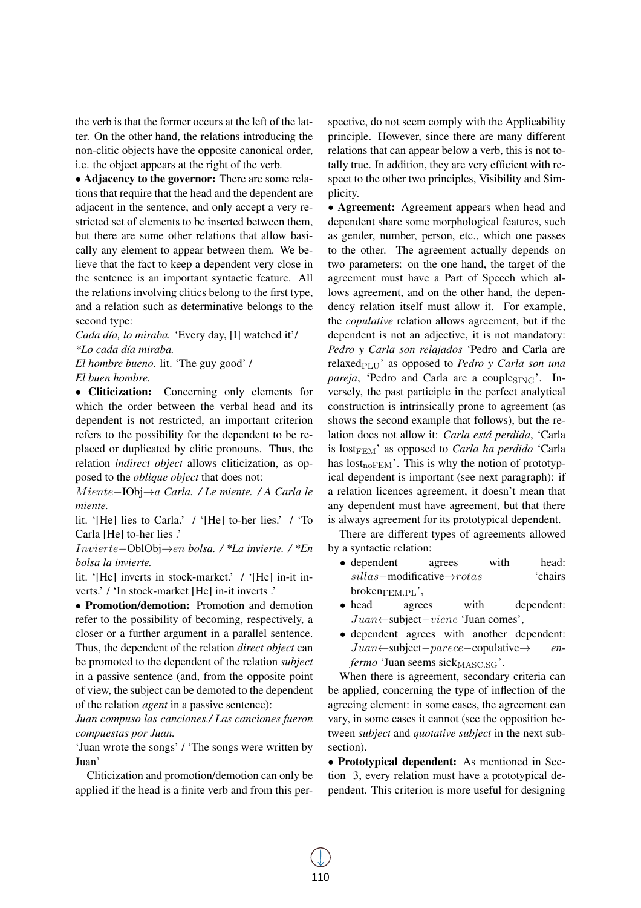the verb is that the former occurs at the left of the latter. On the other hand, the relations introducing the non-clitic objects have the opposite canonical order, i.e. the object appears at the right of the verb.

• Adjacency to the governor: There are some relations that require that the head and the dependent are adjacent in the sentence, and only accept a very restricted set of elements to be inserted between them, but there are some other relations that allow basically any element to appear between them. We believe that the fact to keep a dependent very close in the sentence is an important syntactic feature. All the relations involving clitics belong to the first type, and a relation such as determinative belongs to the second type:

*Cada d´ıa, lo miraba.* 'Every day, [I] watched it'/ *\*Lo cada d´ıa miraba.*

*El hombre bueno.* lit. 'The guy good' / *El buen hombre.*

• Cliticization: Concerning only elements for which the order between the verbal head and its dependent is not restricted, an important criterion refers to the possibility for the dependent to be replaced or duplicated by clitic pronouns. Thus, the relation *indirect object* allows cliticization, as opposed to the *oblique object* that does not:

M iente−IObj→a *Carla. / Le miente. / A Carla le miente.*

lit. '[He] lies to Carla.' / '[He] to-her lies.' / 'To Carla [He] to-her lies .'

Invierte−OblObj→en *bolsa. / \*La invierte. / \*En bolsa la invierte.*

lit. '[He] inverts in stock-market.' / '[He] in-it inverts.' / 'In stock-market [He] in-it inverts .'

• Promotion/demotion: Promotion and demotion refer to the possibility of becoming, respectively, a closer or a further argument in a parallel sentence. Thus, the dependent of the relation *direct object* can be promoted to the dependent of the relation *subject* in a passive sentence (and, from the opposite point of view, the subject can be demoted to the dependent of the relation *agent* in a passive sentence):

*Juan compuso las canciones./ Las canciones fueron compuestas por Juan.*

'Juan wrote the songs' / 'The songs were written by Juan'

Cliticization and promotion/demotion can only be applied if the head is a finite verb and from this perspective, do not seem comply with the Applicability principle. However, since there are many different relations that can appear below a verb, this is not totally true. In addition, they are very efficient with respect to the other two principles, Visibility and Simplicity.

• Agreement: Agreement appears when head and dependent share some morphological features, such as gender, number, person, etc., which one passes to the other. The agreement actually depends on two parameters: on the one hand, the target of the agreement must have a Part of Speech which allows agreement, and on the other hand, the dependency relation itself must allow it. For example, the *copulative* relation allows agreement, but if the dependent is not an adjective, it is not mandatory: *Pedro y Carla son relajados* 'Pedro and Carla are relaxed<sub>PLU</sub>' as opposed to *Pedro y Carla son una pareja*, 'Pedro and Carla are a couples $\sum_{i=1}^{n}$ . Inversely, the past participle in the perfect analytical construction is intrinsically prone to agreement (as shows the second example that follows), but the relation does not allow it: *Carla está perdida*, 'Carla is lost<sub>FEM</sub>' as opposed to *Carla ha perdido* 'Carla' has  $lost<sub>noFEM</sub>$ . This is why the notion of prototypical dependent is important (see next paragraph): if a relation licences agreement, it doesn't mean that any dependent must have agreement, but that there is always agreement for its prototypical dependent.

There are different types of agreements allowed by a syntactic relation:

- dependent agrees with head: sillas−modificative→rotas 'chairs  $b$ roken $_{\text{FEM.PL}}$
- head agrees with dependent: Juan←subject−viene 'Juan comes',
- dependent agrees with another dependent: Juan←subject−parece−copulative→ *enfermo* 'Juan seems sick<sub>MASC.SG</sub>'.

When there is agreement, secondary criteria can be applied, concerning the type of inflection of the agreeing element: in some cases, the agreement can vary, in some cases it cannot (see the opposition between *subject* and *quotative subject* in the next subsection).

• Prototypical dependent: As mentioned in Section 3, every relation must have a prototypical dependent. This criterion is more useful for designing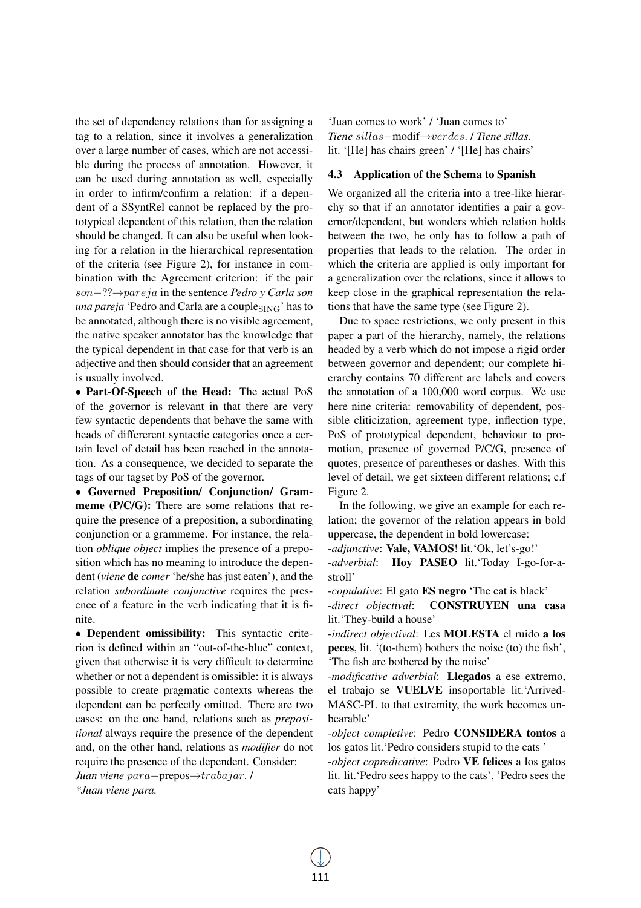the set of dependency relations than for assigning a tag to a relation, since it involves a generalization over a large number of cases, which are not accessible during the process of annotation. However, it can be used during annotation as well, especially in order to infirm/confirm a relation: if a dependent of a SSyntRel cannot be replaced by the prototypical dependent of this relation, then the relation should be changed. It can also be useful when looking for a relation in the hierarchical representation of the criteria (see Figure 2), for instance in combination with the Agreement criterion: if the pair son−??→pareja in the sentence *Pedro y Carla son una pareja* 'Pedro and Carla are a couple<sub>SING</sub>' has to be annotated, although there is no visible agreement, the native speaker annotator has the knowledge that the typical dependent in that case for that verb is an adjective and then should consider that an agreement is usually involved.

• Part-Of-Speech of the Head: The actual PoS of the governor is relevant in that there are very few syntactic dependents that behave the same with heads of differerent syntactic categories once a certain level of detail has been reached in the annotation. As a consequence, we decided to separate the tags of our tagset by PoS of the governor.

• Governed Preposition/ Conjunction/ Grammeme (P/C/G): There are some relations that require the presence of a preposition, a subordinating conjunction or a grammeme. For instance, the relation *oblique object* implies the presence of a preposition which has no meaning to introduce the dependent (*viene* de *comer* 'he/she has just eaten'), and the relation *subordinate conjunctive* requires the presence of a feature in the verb indicating that it is finite.

• Dependent omissibility: This syntactic criterion is defined within an "out-of-the-blue" context, given that otherwise it is very difficult to determine whether or not a dependent is omissible: it is always possible to create pragmatic contexts whereas the dependent can be perfectly omitted. There are two cases: on the one hand, relations such as *prepositional* always require the presence of the dependent and, on the other hand, relations as *modifier* do not require the presence of the dependent. Consider:

*Juan viene* para−prepos→trabajar. / *\*Juan viene para.*

'Juan comes to work' / 'Juan comes to' *Tiene* sillas−modif→verdes. / *Tiene sillas.* lit. '[He] has chairs green' / '[He] has chairs'

#### 4.3 Application of the Schema to Spanish

We organized all the criteria into a tree-like hierarchy so that if an annotator identifies a pair a governor/dependent, but wonders which relation holds between the two, he only has to follow a path of properties that leads to the relation. The order in which the criteria are applied is only important for a generalization over the relations, since it allows to keep close in the graphical representation the relations that have the same type (see Figure 2).

Due to space restrictions, we only present in this paper a part of the hierarchy, namely, the relations headed by a verb which do not impose a rigid order between governor and dependent; our complete hierarchy contains 70 different arc labels and covers the annotation of a 100,000 word corpus. We use here nine criteria: removability of dependent, possible cliticization, agreement type, inflection type, PoS of prototypical dependent, behaviour to promotion, presence of governed P/C/G, presence of quotes, presence of parentheses or dashes. With this level of detail, we get sixteen different relations; c.f Figure 2.

In the following, we give an example for each relation; the governor of the relation appears in bold uppercase, the dependent in bold lowercase:

-*adjunctive*: Vale, VAMOS! lit.'Ok, let's-go!'

-*adverbial*: Hoy PASEO lit.'Today I-go-for-astroll'

-*copulative*: El gato ES negro 'The cat is black'

-*direct objectival*: CONSTRUYEN una casa lit.'They-build a house'

-*indirect objectival*: Les MOLESTA el ruido a los peces, lit. '(to-them) bothers the noise (to) the fish', 'The fish are bothered by the noise'

-*modificative adverbial*: Llegados a ese extremo, el trabajo se VUELVE insoportable lit.'Arrived-MASC-PL to that extremity, the work becomes unbearable'

-*object completive*: Pedro CONSIDERA tontos a los gatos lit.'Pedro considers stupid to the cats '

-*object copredicative*: Pedro VE felices a los gatos lit. lit.'Pedro sees happy to the cats', 'Pedro sees the cats happy'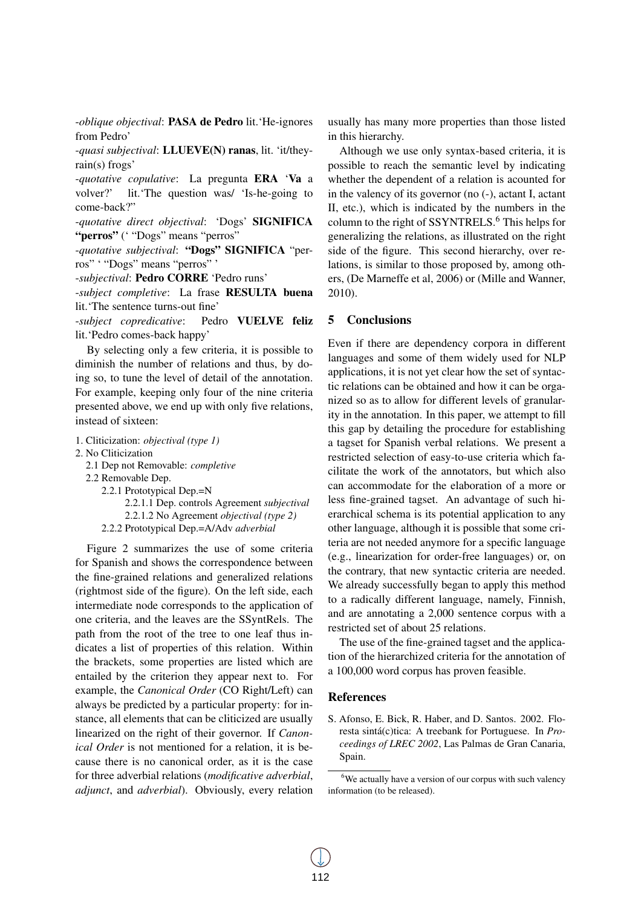-*oblique objectival*: PASA de Pedro lit.'He-ignores from Pedro'

-*quasi subjectival*: LLUEVE(N) ranas, lit. 'it/theyrain(s) frogs'

-*quotative copulative*: La pregunta ERA 'Va a volver?' lit.'The question was/ 'Is-he-going to come-back?"

-*quotative direct objectival*: 'Dogs' SIGNIFICA "perros" ('"Dogs" means "perros"

-*quotative subjectival*: "Dogs" SIGNIFICA "perros" ' "Dogs" means "perros" '

-*subjectival*: Pedro CORRE 'Pedro runs'

-*subject completive*: La frase RESULTA buena lit.'The sentence turns-out fine'

-*subject copredicative*: Pedro VUELVE feliz lit.'Pedro comes-back happy'

By selecting only a few criteria, it is possible to diminish the number of relations and thus, by doing so, to tune the level of detail of the annotation. For example, keeping only four of the nine criteria presented above, we end up with only five relations, instead of sixteen:

- 1. Cliticization: *objectival (type 1)*
- 2. No Cliticization
	- 2.1 Dep not Removable: *completive*
	- 2.2 Removable Dep.
		- 2.2.1 Prototypical Dep.=N 2.2.1.1 Dep. controls Agreement *subjectival* 2.2.1.2 No Agreement *objectival (type 2)* 2.2.2 Prototypical Dep.=A/Adv *adverbial*

Figure 2 summarizes the use of some criteria for Spanish and shows the correspondence between the fine-grained relations and generalized relations (rightmost side of the figure). On the left side, each intermediate node corresponds to the application of one criteria, and the leaves are the SSyntRels. The path from the root of the tree to one leaf thus indicates a list of properties of this relation. Within the brackets, some properties are listed which are entailed by the criterion they appear next to. For example, the *Canonical Order* (CO Right/Left) can always be predicted by a particular property: for instance, all elements that can be cliticized are usually linearized on the right of their governor. If *Canonical Order* is not mentioned for a relation, it is because there is no canonical order, as it is the case for three adverbial relations (*modificative adverbial*, *adjunct*, and *adverbial*). Obviously, every relation

usually has many more properties than those listed in this hierarchy.

Although we use only syntax-based criteria, it is possible to reach the semantic level by indicating whether the dependent of a relation is acounted for in the valency of its governor (no (-), actant I, actant II, etc.), which is indicated by the numbers in the column to the right of SSYNTRELS.<sup>6</sup> This helps for generalizing the relations, as illustrated on the right side of the figure. This second hierarchy, over relations, is similar to those proposed by, among others, (De Marneffe et al, 2006) or (Mille and Wanner, 2010).

#### 5 Conclusions

Even if there are dependency corpora in different languages and some of them widely used for NLP applications, it is not yet clear how the set of syntactic relations can be obtained and how it can be organized so as to allow for different levels of granularity in the annotation. In this paper, we attempt to fill this gap by detailing the procedure for establishing a tagset for Spanish verbal relations. We present a restricted selection of easy-to-use criteria which facilitate the work of the annotators, but which also can accommodate for the elaboration of a more or less fine-grained tagset. An advantage of such hierarchical schema is its potential application to any other language, although it is possible that some criteria are not needed anymore for a specific language (e.g., linearization for order-free languages) or, on the contrary, that new syntactic criteria are needed. We already successfully began to apply this method to a radically different language, namely, Finnish, and are annotating a 2,000 sentence corpus with a restricted set of about 25 relations.

The use of the fine-grained tagset and the application of the hierarchized criteria for the annotation of a 100,000 word corpus has proven feasible.

#### References

S. Afonso, E. Bick, R. Haber, and D. Santos. 2002. Floresta sintá(c)tica: A treebank for Portuguese. In *Proceedings of LREC 2002*, Las Palmas de Gran Canaria, Spain.

<sup>&</sup>lt;sup>6</sup>We actually have a version of our corpus with such valency information (to be released).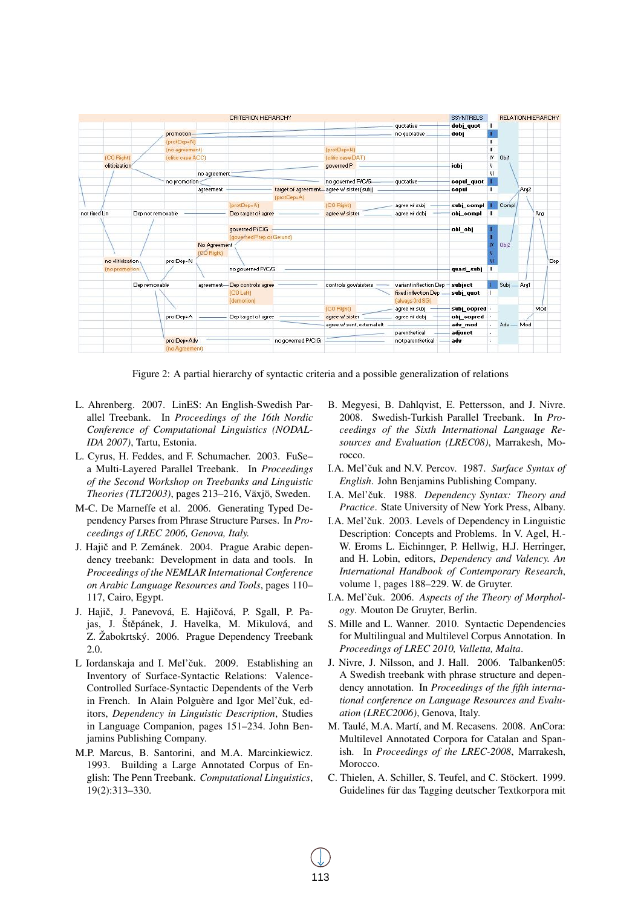| CRITERION HIERARCHY |                  |                   |                   |              |                              |                   |                                                                  |                             |                                  | <b>SSYNTRELS</b> |            | <b>RELATION HIERARCHY</b> |      |     |            |
|---------------------|------------------|-------------------|-------------------|--------------|------------------------------|-------------------|------------------------------------------------------------------|-----------------------------|----------------------------------|------------------|------------|---------------------------|------|-----|------------|
|                     |                  |                   |                   |              |                              |                   |                                                                  |                             | quotative                        | dobj quot        | H          |                           |      |     |            |
|                     |                  |                   | promotion-        |              |                              |                   |                                                                  |                             | no quotative                     | dobi             |            |                           |      |     |            |
|                     |                  |                   | (protDep=N)       |              |                              |                   |                                                                  |                             |                                  |                  | Ш          |                           |      |     |            |
|                     |                  |                   | (no agreement)    |              |                              |                   | (protDep=N)                                                      |                             |                                  |                  | Ш          |                           |      |     |            |
|                     | (CO Right)       |                   | (olitic case ACC) |              |                              |                   | (clitic case DAT)                                                |                             |                                  |                  | IV.        | Obj1                      |      |     |            |
|                     | cliticization    |                   |                   |              |                              |                   | governed P                                                       |                             |                                  | iobj             | ٧          |                           |      |     |            |
|                     |                  |                   |                   | no agreement |                              |                   |                                                                  |                             |                                  |                  | VI.        |                           |      |     |            |
|                     |                  |                   | no promotion      |              |                              |                   | no governed P/C/G-<br>target of agreement agree w/ sister (subj) |                             | quotative-                       | copul_quot       | Ш          |                           |      |     |            |
|                     |                  |                   |                   | agreement    |                              |                   |                                                                  |                             |                                  | copul            |            |                           | Arg2 |     |            |
|                     |                  |                   |                   |              |                              | (protDep=A)       |                                                                  |                             |                                  |                  |            |                           |      |     |            |
|                     |                  |                   |                   |              | (protDep=A)                  |                   | (CO Right)                                                       |                             | agree w/ subj                    | subj_compl       |            | Compl                     |      |     |            |
| not fixed Lin       |                  | Dep not removable |                   |              | Dep target of agree          |                   | agree w/ sister                                                  |                             | agree wł dobj                    | obj compl        | <b>THE</b> |                           |      | Arg |            |
|                     |                  |                   |                   |              |                              |                   |                                                                  |                             |                                  |                  |            |                           |      |     |            |
|                     |                  |                   |                   |              | governed P/C/G               |                   |                                                                  |                             |                                  | obl obj          |            |                           |      |     |            |
|                     |                  |                   |                   |              | (governed Prep or Gerund)    |                   |                                                                  |                             |                                  |                  |            |                           |      |     |            |
|                     |                  |                   |                   | No Agreement |                              |                   |                                                                  |                             |                                  |                  | Obj2       |                           |      |     |            |
|                     |                  |                   |                   | (20 Right)   |                              |                   |                                                                  |                             |                                  |                  |            |                           |      |     |            |
|                     | no cliticization |                   | protDep=N         |              |                              |                   |                                                                  |                             |                                  |                  |            |                           |      |     | <b>Dep</b> |
|                     | (no promotion)   |                   |                   |              | no governed P/C/G            |                   |                                                                  |                             |                                  | quasi subj       | т          |                           |      |     |            |
|                     |                  |                   |                   |              |                              |                   |                                                                  |                             |                                  |                  |            |                           |      |     |            |
|                     |                  | Dep removable     |                   |              | agreement-Dep controls agree |                   | controls gov/sisters                                             |                             | variant inflection Dep - subject |                  |            | Subj - Arg1               |      |     |            |
|                     |                  |                   |                   |              | (CO Left)                    |                   |                                                                  |                             | <b>fixed inflection Dep -</b>    | subj_quot        |            |                           |      |     |            |
|                     |                  |                   |                   |              | (demotion)                   |                   |                                                                  |                             | (always 3rd SG)                  |                  |            |                           |      |     |            |
|                     |                  |                   |                   |              |                              |                   | (CO Right)                                                       |                             | agree wł subj                    | subj copred -    |            |                           |      | Mod |            |
|                     |                  |                   | protDep=A         |              | Dep target of agree          |                   | agree w/ sister                                                  |                             | agree wł dobj                    | obj copred       |            |                           |      |     |            |
|                     |                  |                   |                   |              |                              |                   |                                                                  | agree w/ sent, external elt |                                  | adv mod          |            | Adv - Mod                 |      |     |            |
|                     |                  |                   |                   |              |                              |                   |                                                                  |                             | parenthetical                    | adjunct          |            |                           |      |     |            |
|                     |                  |                   | protDep=Adv       |              |                              | no governed P/C/G |                                                                  |                             | not parenthetical<br>adv         |                  |            |                           |      |     |            |
|                     |                  |                   | (no Agreement)    |              |                              |                   |                                                                  |                             |                                  |                  |            |                           |      |     |            |
|                     |                  |                   |                   |              |                              |                   |                                                                  |                             |                                  |                  |            |                           |      |     |            |

Figure 2: A partial hierarchy of syntactic criteria and a possible generalization of relations

- L. Ahrenberg. 2007. LinES: An English-Swedish Parallel Treebank. In *Proceedings of the 16th Nordic Conference of Computational Linguistics (NODAL-IDA 2007)*, Tartu, Estonia.
- L. Cyrus, H. Feddes, and F. Schumacher. 2003. FuSe– a Multi-Layered Parallel Treebank. In *Proceedings of the Second Workshop on Treebanks and Linguistic Theories (TLT2003)*, pages 213–216, Växjö, Sweden.
- M-C. De Marneffe et al. 2006. Generating Typed Dependency Parses from Phrase Structure Parses. In *Proceedings of LREC 2006, Genova, Italy.*
- J. Hajič and P. Zemánek. 2004. Prague Arabic dependency treebank: Development in data and tools. In *Proceedings of the NEMLAR International Conference on Arabic Language Resources and Tools*, pages 110– 117, Cairo, Egypt.
- J. Hajič, J. Panevová, E. Hajičová, P. Sgall, P. Pajas, J. Štěpánek, J. Havelka, M. Mikulová, and Z. Žabokrtský. 2006. Prague Dependency Treebank 2.0.
- L Iordanskaja and I. Mel'čuk. 2009. Establishing an Inventory of Surface-Syntactic Relations: Valence-Controlled Surface-Syntactic Dependents of the Verb in French. In Alain Polguère and Igor Mel'čuk, editors, *Dependency in Linguistic Description*, Studies in Language Companion, pages 151–234. John Benjamins Publishing Company.
- M.P. Marcus, B. Santorini, and M.A. Marcinkiewicz. 1993. Building a Large Annotated Corpus of English: The Penn Treebank. *Computational Linguistics*, 19(2):313–330.
- B. Megyesi, B. Dahlqvist, E. Pettersson, and J. Nivre. 2008. Swedish-Turkish Parallel Treebank. In *Proceedings of the Sixth International Language Resources and Evaluation (LREC08)*, Marrakesh, Morocco.
- I.A. Mel'čuk and N.V. Percov. 1987. Surface Syntax of *English*. John Benjamins Publishing Company.
- I.A. Mel'čuk. 1988. Dependency Syntax: Theory and *Practice*. State University of New York Press, Albany.
- I.A. Mel'čuk. 2003. Levels of Dependency in Linguistic Description: Concepts and Problems. In V. Agel, H.- W. Eroms L. Eichinnger, P. Hellwig, H.J. Herringer, and H. Lobin, editors, *Dependency and Valency. An International Handbook of Contemporary Research*, volume 1, pages 188–229. W. de Gruyter.
- I.A. Mel'čuk. 2006. Aspects of the Theory of Morphol*ogy*. Mouton De Gruyter, Berlin.
- S. Mille and L. Wanner. 2010. Syntactic Dependencies for Multilingual and Multilevel Corpus Annotation. In *Proceedings of LREC 2010, Valletta, Malta*.
- J. Nivre, J. Nilsson, and J. Hall. 2006. Talbanken05: A Swedish treebank with phrase structure and dependency annotation. In *Proceedings of the fifth international conference on Language Resources and Evaluation (LREC2006)*, Genova, Italy.
- M. Taulé, M.A. Martí, and M. Recasens. 2008. AnCora: Multilevel Annotated Corpora for Catalan and Spanish. In *Proceedings of the LREC-2008*, Marrakesh, Morocco.
- C. Thielen, A. Schiller, S. Teufel, and C. Stöckert. 1999. Guidelines für das Tagging deutscher Textkorpora mit